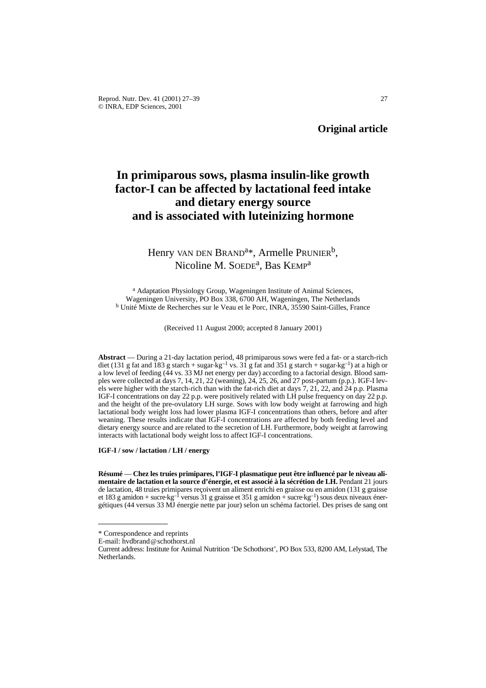# **In primiparous sows, plasma insulin-like growth factor-I can be affected by lactational feed intake and dietary energy source and is associated with luteinizing hormone**

## Henry VAN DEN BRAND<sup>a\*</sup>, Armelle PRUNIER<sup>b</sup>, Nicoline M. SOEDE<sup>a</sup>, Bas KEMP<sup>a</sup>

<sup>a</sup> Adaptation Physiology Group, Wageningen Institute of Animal Sciences, Wageningen University, PO Box 338, 6700 AH, Wageningen, The Netherlands <sup>b</sup> Unité Mixte de Recherches sur le Veau et le Porc, INRA, 35590 Saint-Gilles, France

(Received 11 August 2000; accepted 8 January 2001)

**Abstract** — During a 21-day lactation period, 48 primiparous sows were fed a fat- or a starch-rich diet (131 g fat and 183 g starch + sugar- $kg^{-1}$  vs. 31 g fat and 351 g starch + sugar- $kg^{-1}$ ) at a high or a low level of feeding (44 vs. 33 MJ net energy per day) according to a factorial design. Blood samples were collected at days 7, 14, 21, 22 (weaning), 24, 25, 26, and 27 post-partum (p.p.). IGF-I levels were higher with the starch-rich than with the fat-rich diet at days 7, 21, 22, and 24 p.p. Plasma IGF-I concentrations on day 22 p.p. were positively related with LH pulse frequency on day 22 p.p. and the height of the pre-ovulatory LH surge. Sows with low body weight at farrowing and high lactational body weight loss had lower plasma IGF-I concentrations than others, before and after weaning. These results indicate that IGF-I concentrations are affected by both feeding level and dietary energy source and are related to the secretion of LH. Furthermore, body weight at farrowing interacts with lactational body weight loss to affect IGF-I concentrations.

**IGF-I / sow / lactation / LH / energy**

**Résumé** — **Chez les truies primipares, l'IGF-I plasmatique peut être influencé par le niveau alimentaire de lactation et la source d'énergie, et est associé à la sécrétion de LH.** Pendant 21 jours de lactation, 48 truies primipares reçoivent un aliment enrichi en graisse ou en amidon (131 g graisse et 183 g amidon + sucre $\text{kg}^{-1}$  versus 31 g graisse et 351 g amidon + sucre $\text{kg}^{-1}$ ) sous deux niveaux énergétiques (44 versus 33 MJ énergie nette par jour) selon un schéma factoriel. Des prises de sang ont

<sup>\*</sup> Correspondence and reprints

E-mail: hvdbrand@schothorst.nl

Current address: Institute for Animal Nutrition 'De Schothorst', PO Box 533, 8200 AM, Lelystad, The Netherlands.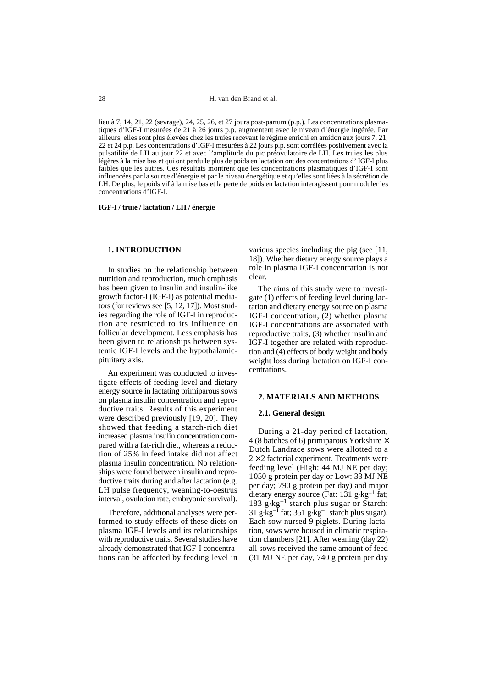lieu à 7, 14, 21, 22 (sevrage), 24, 25, 26, et 27 jours post-partum (p.p.). Les concentrations plasmatiques d'IGF-I mesurées de 21 à 26 jours p.p. augmentent avec le niveau d'énergie ingérée. Par ailleurs, elles sont plus élevées chez les truies recevant le régime enrichi en amidon aux jours 7, 21, 22 et 24 p.p. Les concentrations d'IGF-I mesurées à 22 jours p.p. sont corrélées positivement avec la pulsatilité de LH au jour 22 et avec l'amplitude du pic préovulatoire de LH. Les truies les plus légères à la mise bas et qui ont perdu le plus de poids en lactation ont des concentrations d' IGF-I plus faibles que les autres. Ces résultats montrent que les concentrations plasmatiques d'IGF-I sont influencées par la source d'énergie et par le niveau énergétique et qu'elles sont liées à la sécrétion de LH. De plus, le poids vif à la mise bas et la perte de poids en lactation interagissent pour moduler les concentrations d'IGF-I.

**IGF-I / truie / lactation / LH / énergie**

#### **1. INTRODUCTION**

In studies on the relationship between nutrition and reproduction, much emphasis has been given to insulin and insulin-like growth factor-I (IGF-I) as potential mediators (for reviews see [5, 12, 17]). Most studies regarding the role of IGF-I in reproduction are restricted to its influence on follicular development. Less emphasis has been given to relationships between systemic IGF-I levels and the hypothalamicpituitary axis.

An experiment was conducted to investigate effects of feeding level and dietary energy source in lactating primiparous sows on plasma insulin concentration and reproductive traits. Results of this experiment were described previously [19, 20]. They showed that feeding a starch-rich diet increased plasma insulin concentration compared with a fat-rich diet, whereas a reduction of 25% in feed intake did not affect plasma insulin concentration. No relationships were found between insulin and reproductive traits during and after lactation (e.g. LH pulse frequency, weaning-to-oestrus interval, ovulation rate, embryonic survival).

Therefore, additional analyses were performed to study effects of these diets on plasma IGF-I levels and its relationships with reproductive traits. Several studies have already demonstrated that IGF-I concentrations can be affected by feeding level in

various species including the pig (see [11, 18]). Whether dietary energy source plays a role in plasma IGF-I concentration is not clear.

The aims of this study were to investigate (1) effects of feeding level during lactation and dietary energy source on plasma IGF-I concentration, (2) whether plasma IGF-I concentrations are associated with reproductive traits, (3) whether insulin and IGF-I together are related with reproduction and (4) effects of body weight and body weight loss during lactation on IGF-I concentrations.

#### **2. MATERIALS AND METHODS**

#### **2.1. General design**

During a 21-day period of lactation, 4 (8 batches of 6) primiparous Yorkshire  $\times$ Dutch Landrace sows were allotted to a  $2 \times 2$  factorial experiment. Treatments were feeding level (High: 44 MJ NE per day; 1050 g protein per day or Low: 33 MJ NE per day; 790 g protein per day) and major dietary energy source (Fat: 131 g $\text{kg}^{-1}$  fat; 183 g.kg–1 starch plus sugar or Starch: 31 g $\text{kg}^{-1}$  fat; 351 g $\text{kg}^{-1}$  starch plus sugar). Each sow nursed 9 piglets. During lactation, sows were housed in climatic respiration chambers [21]. After weaning (day 22) all sows received the same amount of feed (31 MJ NE per day, 740 g protein per day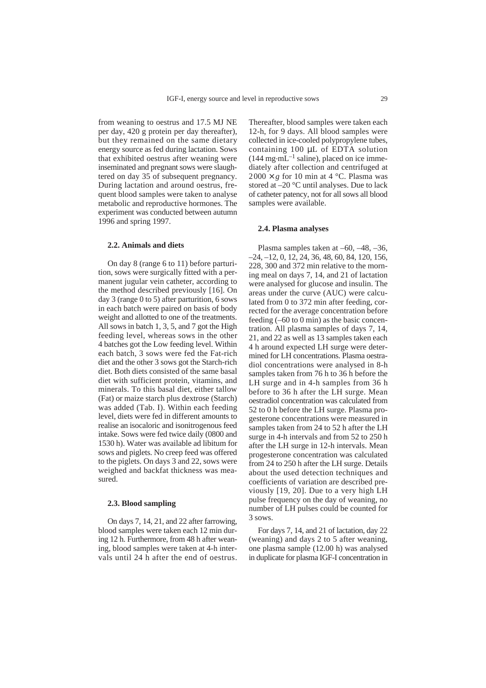from weaning to oestrus and 17.5 MJ NE per day, 420 g protein per day thereafter), but they remained on the same dietary energy source as fed during lactation. Sows that exhibited oestrus after weaning were inseminated and pregnant sows were slaughtered on day 35 of subsequent pregnancy. During lactation and around oestrus, frequent blood samples were taken to analyse metabolic and reproductive hormones. The experiment was conducted between autumn 1996 and spring 1997.

## **2.2. Animals and diets**

On day 8 (range 6 to 11) before parturition, sows were surgically fitted with a permanent jugular vein catheter, according to the method described previously [16]. On day 3 (range 0 to 5) after parturition, 6 sows in each batch were paired on basis of body weight and allotted to one of the treatments. All sows in batch 1, 3, 5, and 7 got the High feeding level, whereas sows in the other 4 batches got the Low feeding level. Within each batch, 3 sows were fed the Fat-rich diet and the other 3 sows got the Starch-rich diet. Both diets consisted of the same basal diet with sufficient protein, vitamins, and minerals. To this basal diet, either tallow (Fat) or maize starch plus dextrose (Starch) was added (Tab. I). Within each feeding level, diets were fed in different amounts to realise an isocaloric and isonitrogenous feed intake. Sows were fed twice daily (0800 and 1530 h). Water was available ad libitum for sows and piglets. No creep feed was offered to the piglets. On days 3 and 22, sows were weighed and backfat thickness was measured.

## **2.3. Blood sampling**

On days 7, 14, 21, and 22 after farrowing, blood samples were taken each 12 min during 12 h. Furthermore, from 48 h after weaning, blood samples were taken at 4-h intervals until 24 h after the end of oestrus. Thereafter, blood samples were taken each 12-h, for 9 days. All blood samples were collected in ice-cooled polypropylene tubes, containing 100 µL of EDTA solution  $(144 \text{ mg} \cdot \text{mL}^{-1} \text{ saline})$ , placed on ice immediately after collection and centrifuged at  $2000 \times g$  for 10 min at 4 °C. Plasma was stored at –20 °C until analyses. Due to lack of catheter patency, not for all sows all blood samples were available.

#### **2.4. Plasma analyses**

Plasma samples taken at –60, –48, –36, –24, –12, 0, 12, 24, 36, 48, 60, 84, 120, 156, 228, 300 and 372 min relative to the morning meal on days 7, 14, and 21 of lactation were analysed for glucose and insulin. The areas under the curve (AUC) were calculated from 0 to 372 min after feeding, corrected for the average concentration before feeding (–60 to 0 min) as the basic concentration. All plasma samples of days 7, 14, 21, and 22 as well as 13 samples taken each 4 h around expected LH surge were determined for LH concentrations. Plasma oestradiol concentrations were analysed in 8-h samples taken from 76 h to 36 h before the LH surge and in 4-h samples from 36 h before to 36 h after the LH surge. Mean oestradiol concentration was calculated from 52 to 0 h before the LH surge. Plasma progesterone concentrations were measured in samples taken from 24 to 52 h after the LH surge in 4-h intervals and from 52 to 250 h after the LH surge in 12-h intervals. Mean progesterone concentration was calculated from 24 to 250 h after the LH surge. Details about the used detection techniques and coefficients of variation are described previously [19, 20]. Due to a very high LH pulse frequency on the day of weaning, no number of LH pulses could be counted for 3 sows.

For days 7, 14, and 21 of lactation, day 22 (weaning) and days 2 to 5 after weaning, one plasma sample (12.00 h) was analysed in duplicate for plasma IGF-I concentration in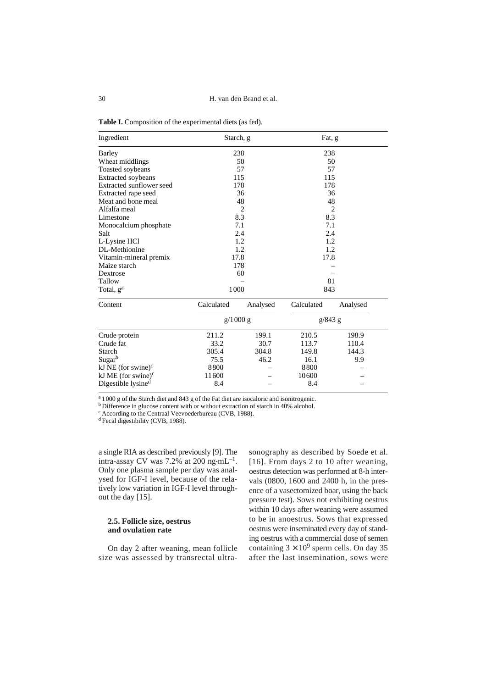| Ingredient                     | Starch, g  |                | Fat, g     |                |  |  |  |
|--------------------------------|------------|----------------|------------|----------------|--|--|--|
| Barley                         |            | 238            | 238        |                |  |  |  |
| Wheat middlings                |            | 50             | 50         |                |  |  |  |
| Toasted soybeans               |            | 57             | 57         |                |  |  |  |
| <b>Extracted soybeans</b>      |            | 115            | 115        |                |  |  |  |
| Extracted sunflower seed       |            | 178            | 178        |                |  |  |  |
| Extracted rape seed            |            | 36             | 36         |                |  |  |  |
| Meat and bone meal             |            | 48             |            | 48             |  |  |  |
| Alfalfa meal                   |            | $\overline{2}$ |            | $\overline{2}$ |  |  |  |
| Limestone                      |            | 8.3            |            | 8.3            |  |  |  |
| Monocalcium phosphate          |            | 7.1            | 7.1        |                |  |  |  |
| Salt                           |            | 2.4            | 2.4        |                |  |  |  |
| L-Lysine HCl                   |            | 1.2            | 1.2        |                |  |  |  |
| DL-Methionine                  | 1.2        |                | 1.2        |                |  |  |  |
| Vitamin-mineral premix         | 17.8       |                | 17.8       |                |  |  |  |
| Maize starch                   | 178        |                |            |                |  |  |  |
| Dextrose                       | 60         |                |            |                |  |  |  |
| Tallow                         |            |                | 81         |                |  |  |  |
| Total, g <sup>a</sup>          | 1000       |                | 843        |                |  |  |  |
| Content                        | Calculated | Analysed       | Calculated | Analysed       |  |  |  |
|                                | g/1000 g   |                | g/843 g    |                |  |  |  |
| Crude protein                  | 211.2      | 199.1          | 210.5      | 198.9          |  |  |  |
| Crude fat                      | 33.2       | 30.7           | 113.7      | 110.4          |  |  |  |
| Starch                         | 305.4      | 304.8          | 149.8      | 144.3          |  |  |  |
| Sugarb                         | 75.5       | 46.2           | 16.1       | 9.9            |  |  |  |
| kJ NE (for swine) $\rm^c$      | 8800       |                | 8800       |                |  |  |  |
| kJ ME (for swine) $c$          | 11600      |                | 10600      |                |  |  |  |
| Digestible lysine <sup>d</sup> | 8.4        |                | 8.4        |                |  |  |  |

**Table I.** Composition of the experimental diets (as fed).

<sup>a</sup> 1000 g of the Starch diet and 843 g of the Fat diet are isocaloric and isonitrogenic.

b Difference in glucose content with or without extraction of starch in 40% alcohol.

c According to the Centraal Veevoederbureau (CVB, 1988).

<sup>d</sup> Fecal digestibility (CVB, 1988).

Digestible lysine<sup>d</sup>

a single RIA as described previously [9]. The intra-assay CV was  $7.2\%$  at  $200$  ng $\cdot$ mL<sup>-1</sup>. Only one plasma sample per day was analysed for IGF-I level, because of the relatively low variation in IGF-I level throughout the day [15].

## **2.5. Follicle size, oestrus and ovulation rate**

On day 2 after weaning, mean follicle size was assessed by transrectal ultra-

sonography as described by Soede et al. [16]. From days 2 to 10 after weaning, oestrus detection was performed at 8-h intervals (0800, 1600 and 2400 h, in the presence of a vasectomized boar, using the back pressure test). Sows not exhibiting oestrus within 10 days after weaning were assumed to be in anoestrus. Sows that expressed oestrus were inseminated every day of standing oestrus with a commercial dose of semen containing  $3 \times 10^9$  sperm cells. On day 35 after the last insemination, sows were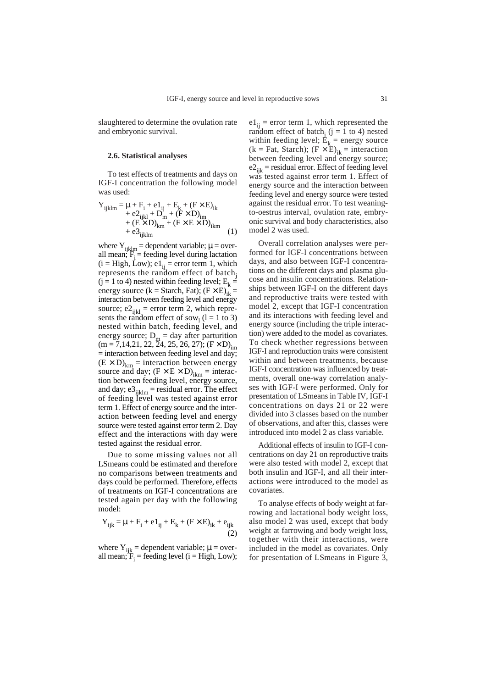slaughtered to determine the ovulation rate and embryonic survival.

#### **2.6. Statistical analyses**

To test effects of treatments and days on IGF-I concentration the following model was used:

$$
Y_{ijklm} = \mu + F_i + e1_{ij} + E_k + (F \times E)_{ik} + e2_{ijkl} + D_m + (F \times D)_{im} + (E \times D)_{km} + (F \times E \times D)_{ikm} + e3_{ijklm}
$$
 (1)

where  $Y_{ijklm}$  = dependent variable;  $\mu$  = overall mean;  $F_i$  = feeding level during lactation  $(i = High, Low); e1_{ii} = error term 1, which$ represents the random effect of batch<sub>i</sub>  $(i = 1$  to 4) nested within feeding level;  $E_k =$ energy source (k = Starch, Fat);  $(F \times E)_i =$ interaction between feeding level and energy source;  $e^2$ <sub>iikl</sub> = error term 2, which represents the random effect of sow<sub>1</sub> ( $l = 1$  to 3) nested within batch, feeding level, and energy source;  $D_m = day$  after parturition  $(m = 7,14,21, 22, \overline{2}4, 25, 26, 27); (F \times D)_{im}$  $=$  interaction between feeding level and day;  $(E \times D)_{km}$  = interaction between energy source and day;  $(F \times E \times D)_{ikm}$  = interaction between feeding level, energy source, and day;  $e3_{ijklm}$  = residual error. The effect of feeding level was tested against error term 1. Effect of energy source and the interaction between feeding level and energy source were tested against error term 2. Day effect and the interactions with day were tested against the residual error.

Due to some missing values not all LSmeans could be estimated and therefore no comparisons between treatments and days could be performed. Therefore, effects of treatments on IGF-I concentrations are tested again per day with the following model:

$$
Y_{ijk} = \mu + F_i + e1_{ij} + E_k + (F \times E)_{ik} + e_{ijk}
$$
\n(2)

where  $Y_{ijk}$  = dependent variable;  $\mu$  = overall mean;  $\mathbf{\ddot{F}}_i$  = feeding level (i = High, Low);

 $e1_{ii}$  = error term 1, which represented the random effect of batch<sub>i</sub> (j = 1 to 4) nested within feeding level;  $\vec{E}_k$  = energy source (k = Fat, Starch);  $(F \times \mathbf{\hat{E}})_{ik}$  = interaction between feeding level and energy source;  $e_{ijk}$  = residual error. Effect of feeding level was tested against error term 1. Effect of energy source and the interaction between feeding level and energy source were tested against the residual error. To test weaningto-oestrus interval, ovulation rate, embryonic survival and body characteristics, also model 2 was used.

Overall correlation analyses were performed for IGF-I concentrations between days, and also between IGF-I concentrations on the different days and plasma glucose and insulin concentrations. Relationships between IGF-I on the different days and reproductive traits were tested with model 2, except that IGF-I concentration and its interactions with feeding level and energy source (including the triple interaction) were added to the model as covariates. To check whether regressions between IGF-I and reproduction traits were consistent within and between treatments, because IGF-I concentration was influenced by treatments, overall one-way correlation analyses with IGF-I were performed. Only for presentation of LSmeans in Table IV, IGF-I concentrations on days 21 or 22 were divided into 3 classes based on the number of observations, and after this, classes were introduced into model 2 as class variable.

Additional effects of insulin to IGF-I concentrations on day 21 on reproductive traits were also tested with model 2, except that both insulin and IGF-I, and all their interactions were introduced to the model as covariates.

To analyse effects of body weight at farrowing and lactational body weight loss, also model 2 was used, except that body weight at farrowing and body weight loss, together with their interactions, were included in the model as covariates. Only for presentation of LSmeans in Figure 3,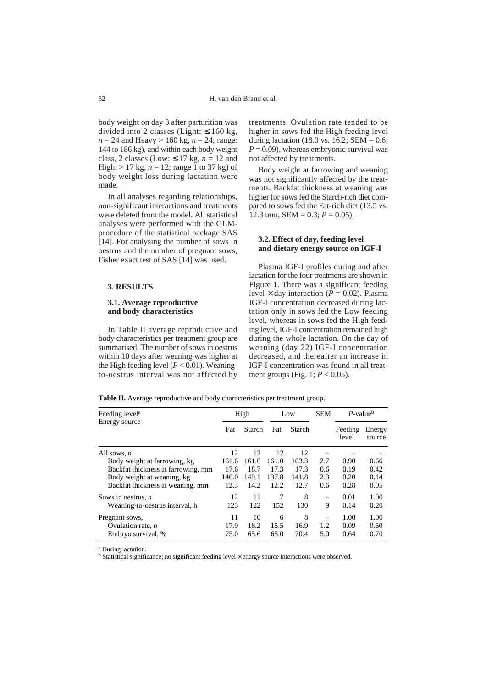body weight on day 3 after parturition was divided into 2 classes (Light:  $\leq 160$  kg,  $n = 24$  and Heavy > 160 kg,  $n = 24$ ; range: 144 to 186 kg), and within each body weight class, 2 classes (Low:  $\leq 17$  kg,  $n = 12$  and High:  $> 17$  kg,  $n = 12$ ; range 1 to 37 kg) of body weight loss during lactation were made.

In all analyses regarding relationships, non-significant interactions and treatments were deleted from the model. All statistical analyses were performed with the GLMprocedure of the statistical package SAS [14]. For analysing the number of sows in oestrus and the number of pregnant sows, Fisher exact test of SAS [14] was used.

#### **3. RESULTS**

## **3.1. Average reproductive and body characteristics**

In Table II average reproductive and body characteristics per treatment group are summarised. The number of sows in oestrus within 10 days after weaning was higher at the High feeding level  $(P < 0.01)$ . Weaningto-oestrus interval was not affected by

treatments. Ovulation rate tended to be higher in sows fed the High feeding level during lactation (18.0 vs. 16.2; SEM =  $0.6$ ;  $P = 0.09$ ), whereas embryonic survival was not affected by treatments.

Body weight at farrowing and weaning was not significantly affected by the treatments. Backfat thickness at weaning was higher for sows fed the Starch-rich diet compared to sows fed the Fat-rich diet (13.5 vs. 12.3 mm,  $SEM = 0.3$ ;  $P = 0.05$ ).

## **3.2. Effect of day, feeding level and dietary energy source on IGF-I**

Plasma IGF-I profiles during and after lactation for the four treatments are shown in Figure 1. There was a significant feeding level  $\times$  day interaction ( $\dot{P} = 0.02$ ). Plasma IGF-I concentration decreased during lactation only in sows fed the Low feeding level, whereas in sows fed the High feeding level, IGF-I concentration remained high during the whole lactation. On the day of weaning (day 22) IGF-I concentration decreased, and thereafter an increase in IGF-I concentration was found in all treatment groups (Fig. 1; *P* < 0.05).

Table II. Average reproductive and body characteristics per treatment group.

| Feeding level <sup>a</sup>         |       | High   |       | Low    | <b>SEM</b> | $P$ -value <sup>b</sup> |                  |
|------------------------------------|-------|--------|-------|--------|------------|-------------------------|------------------|
| Energy source                      | Fat   | Starch | Fat   | Starch |            | Feeding<br>level        | Energy<br>source |
| All sows, $n$                      | 12.   | 12     | 12    | 12     |            |                         |                  |
| Body weight at farrowing, kg       | 161.6 | 161.6  | 161.0 | 163.3  | 2.7        | 0.90                    | 0.66             |
| Backfat thickness at farrowing, mm | 17.6  | 18.7   | 17.3  | 17.3   | 0.6        | 0.19                    | 0.42             |
| Body weight at weaning, kg         | 146.0 | 149.1  | 137.8 | 141.8  | 2.3        | 0.20                    | 0.14             |
| Backfat thickness at weaning, mm   | 12.3  | 14.2   | 12.2  | 12.7   | 0.6        | 0.28                    | 0.05             |
| Sows in oestrus, $n$               | 12    | 11     | 7     | 8      |            | 0.01                    | 1.00             |
| Weaning-to-oestrus interval, h     | 123   | 122    | 152   | 130    | 9          | 0.14                    | 0.20             |
| Pregnant sows,                     | 11    | 10     | 6     | 8      |            | 1.00                    | 1.00             |
| Ovulation rate, $n$                | 17.9  | 18.2   | 15.5  | 16.9   | 1.2        | 0.09                    | 0.50             |
| Embryo survival, %                 | 75.0  | 65.6   | 65.0  | 70.4   | 5.0        | 0.64                    | 0.70             |

<sup>a</sup> During lactation.

<sup>b</sup> Statistical significance; no significant feeding level × energy source interactions were observed.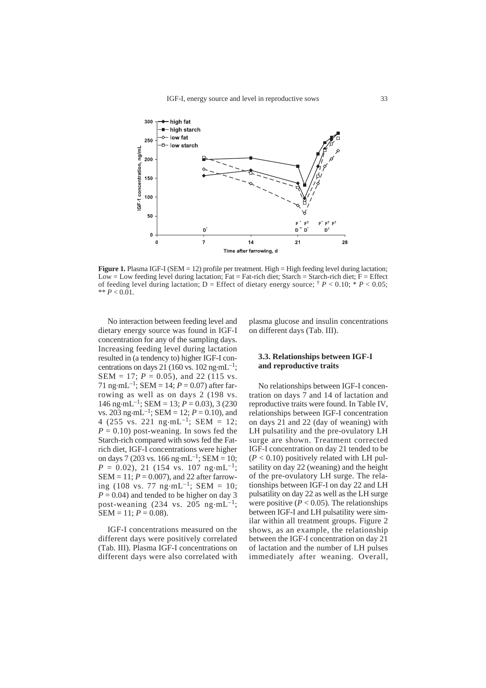

**Figure 1.** Plasma IGF-I (SEM = 12) profile per treatment. High = High feeding level during lactation; Low = Low feeding level during lactation; Fat = Fat-rich diet; Starch = Starch-rich diet;  $F =$  Effect of feeding level during lactation; D = Effect of dietary energy source;  $\dagger$  *P* < 0.10; \* *P* < 0.05; \*\* *P* < 0.01.

No interaction between feeding level and dietary energy source was found in IGF-I concentration for any of the sampling days. Increasing feeding level during lactation resulted in (a tendency to) higher IGF-I concentrations on days 21 (160 vs. 102 ng·mL<sup>-1</sup>; SEM = 17; *P* = 0.05), and 22 (115 vs. 71 ng·mL<sup>-1</sup>; SEM = 14;  $P = 0.07$ ) after farrowing as well as on days 2 (198 vs. 146 ng·mL<sup>-1</sup>; SEM = 13;  $P = 0.03$ ), 3 (230) vs. 203 ng·mL<sup>-1</sup>; SEM = 12;  $P = 0.10$ ), and 4 (255 vs. 221 ng·mL<sup>-1</sup>; SEM = 12;  $P = 0.10$ ) post-weaning. In sows fed the Starch-rich compared with sows fed the Fatrich diet, IGF-I concentrations were higher on days 7 (203 vs. 166 ng·mL<sup>-1</sup>; SEM = 10;  $P = 0.02$ ), 21 (154 vs. 107 ng·mL<sup>-1</sup>; SEM = 11; *P* = 0.007), and 22 after farrowing (108 vs. 77 ng·mL<sup>-1</sup>; SEM = 10;  $P = 0.04$ ) and tended to be higher on day 3 post-weaning (234 vs. 205 ng $\cdot$ mL<sup>-1</sup>;  $SEM = 11; P = 0.08$ .

IGF-I concentrations measured on the different days were positively correlated (Tab. III). Plasma IGF-I concentrations on different days were also correlated with plasma glucose and insulin concentrations on different days (Tab. III).

## **3.3. Relationships between IGF-I and reproductive traits**

No relationships between IGF-I concentration on days 7 and 14 of lactation and reproductive traits were found. In Table IV, relationships between IGF-I concentration on days 21 and 22 (day of weaning) with LH pulsatility and the pre-ovulatory LH surge are shown. Treatment corrected IGF-I concentration on day 21 tended to be  $(P < 0.10)$  positively related with LH pulsatility on day 22 (weaning) and the height of the pre-ovulatory LH surge. The relationships between IGF-I on day 22 and LH pulsatility on day 22 as well as the LH surge were positive  $(P < 0.05)$ . The relationships between IGF-I and LH pulsatility were similar within all treatment groups. Figure 2 shows, as an example, the relationship between the IGF-I concentration on day 21 of lactation and the number of LH pulses immediately after weaning. Overall,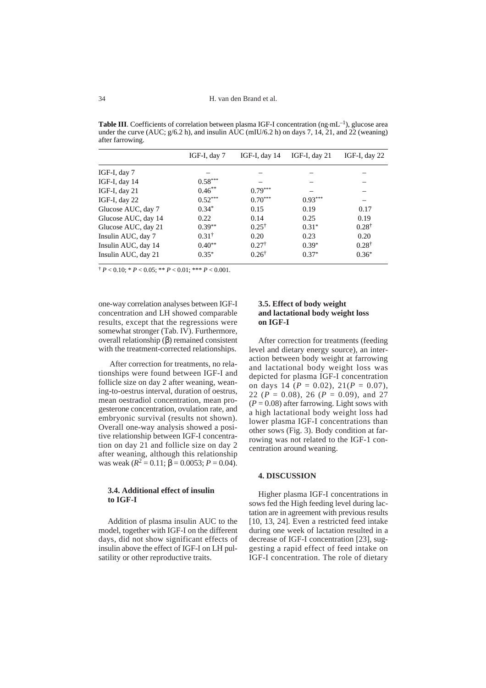**Table III**. Coefficients of correlation between plasma IGF-I concentration  $(ng·mL^{-1})$ , glucose area under the curve (AUC;  $g/6.2$  h), and insulin AUC (mIU/6.2 h) on days 7, 14, 21, and 22 (weaning) after farrowing.

|                     | IGF-I, day $7$   | IGF-I, day $14$  | IGF-I, day $21$ | IGF-I, day 22    |  |
|---------------------|------------------|------------------|-----------------|------------------|--|
| IGF-I, day $7$      |                  |                  |                 |                  |  |
| IGF-I, day 14       | $0.58***$        |                  |                 |                  |  |
| IGF-I, day $21$     | $0.46***$        | $0.79***$        |                 |                  |  |
| IGF-I, day 22       | $0.52***$        | $0.70***$        | $0.93***$       |                  |  |
| Glucose AUC, day 7  | $0.34*$          | 0.15             | 0.19            | 0.17             |  |
| Glucose AUC, day 14 | 0.22             | 0.14             | 0.25            | 0.19             |  |
| Glucose AUC, day 21 | $0.39**$         | $0.25^{\dagger}$ | $0.31*$         | $0.28^{\dagger}$ |  |
| Insulin AUC, day 7  | $0.31^{\dagger}$ | 0.20             | 0.23            | 0.20             |  |
| Insulin AUC, day 14 | $0.40**$         | $0.27^{\dagger}$ | $0.39*$         | $0.28^{\dagger}$ |  |
| Insulin AUC, day 21 | $0.35*$          | $0.26^{\dagger}$ | $0.37*$         | $0.36*$          |  |

 $\uparrow$  *P* < 0.10; \* *P* < 0.05; \*\* *P* < 0.01; \*\*\* *P* < 0.001.

one-way correlation analyses between IGF-I concentration and LH showed comparable results, except that the regressions were somewhat stronger (Tab. IV). Furthermore, overall relationship (β) remained consistent with the treatment-corrected relationships.

After correction for treatments, no relationships were found between IGF-I and follicle size on day 2 after weaning, weaning-to-oestrus interval, duration of oestrus, mean oestradiol concentration, mean progesterone concentration, ovulation rate, and embryonic survival (results not shown). Overall one-way analysis showed a positive relationship between IGF-I concentration on day 21 and follicle size on day 2 after weaning, although this relationship was weak  $(R^2 = 0.11; \beta = 0.0053; P = 0.04)$ .

## **3.4. Additional effect of insulin to IGF-I**

Addition of plasma insulin AUC to the model, together with IGF-I on the different days, did not show significant effects of insulin above the effect of IGF-I on LH pulsatility or other reproductive traits.

## **3.5. Effect of body weight and lactational body weight loss on IGF-I**

After correction for treatments (feeding level and dietary energy source), an interaction between body weight at farrowing and lactational body weight loss was depicted for plasma IGF-I concentration on days 14 (*P* = 0.02), 21(*P* = 0.07), 22 ( $P = 0.08$ ), 26 ( $P = 0.09$ ), and 27  $(P = 0.08)$  after farrowing. Light sows with a high lactational body weight loss had lower plasma IGF-I concentrations than other sows (Fig. 3). Body condition at farrowing was not related to the IGF-1 concentration around weaning.

## **4. DISCUSSION**

Higher plasma IGF-I concentrations in sows fed the High feeding level during lactation are in agreement with previous results [10, 13, 24]. Even a restricted feed intake during one week of lactation resulted in a decrease of IGF-I concentration [23], suggesting a rapid effect of feed intake on IGF-I concentration. The role of dietary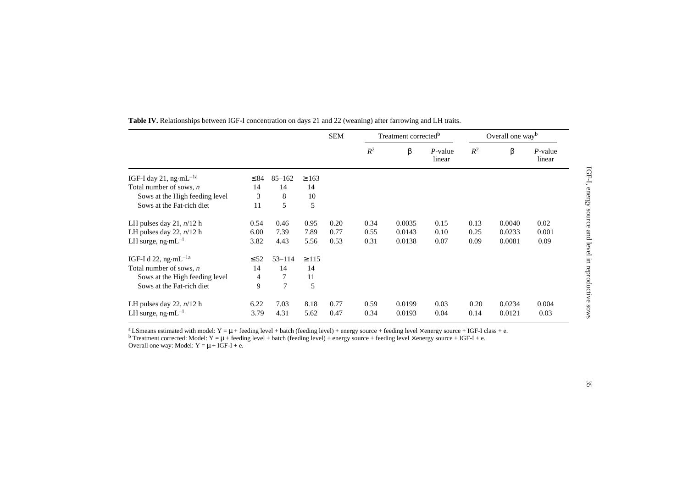|                                            |           |                | <b>SEM</b> |      | Treatment corrected <sup>b</sup> |        | Overall one way <sup>b</sup> |       |        |                      |
|--------------------------------------------|-----------|----------------|------------|------|----------------------------------|--------|------------------------------|-------|--------|----------------------|
|                                            |           |                |            |      | $R^2$                            | β      | $P$ -value<br>linear         | $R^2$ | β      | $P$ -value<br>linear |
| IGF-I day 21, ng $\cdot$ mL <sup>-1a</sup> | $\leq 84$ | $85 - 162$     | $\geq 163$ |      |                                  |        |                              |       |        |                      |
| Total number of sows, $n$                  | 14        | 14             | 14         |      |                                  |        |                              |       |        |                      |
| Sows at the High feeding level             | 3         | 8              | 10         |      |                                  |        |                              |       |        |                      |
| Sows at the Fat-rich diet                  | 11        | 5              | 5          |      |                                  |        |                              |       |        |                      |
| LH pulses day 21, $n/12$ h                 | 0.54      | 0.46           | 0.95       | 0.20 | 0.34                             | 0.0035 | 0.15                         | 0.13  | 0.0040 | 0.02                 |
| LH pulses day 22, $n/12$ h                 | 6.00      | 7.39           | 7.89       | 0.77 | 0.55                             | 0.0143 | 0.10                         | 0.25  | 0.0233 | 0.001                |
| LH surge, $ng·mL^{-1}$                     | 3.82      | 4.43           | 5.56       | 0.53 | 0.31                             | 0.0138 | 0.07                         | 0.09  | 0.0081 | 0.09                 |
| IGF-I d 22, ng·mL <sup>-1a</sup>           | $\leq 52$ | $53 - 114$     | $\geq$ 115 |      |                                  |        |                              |       |        |                      |
| Total number of sows, $n$                  | 14        | 14             | 14         |      |                                  |        |                              |       |        |                      |
| Sows at the High feeding level             | 4         | 7              | 11         |      |                                  |        |                              |       |        |                      |
| Sows at the Fat-rich diet                  | 9         | $\overline{7}$ | 5          |      |                                  |        |                              |       |        |                      |
| LH pulses day 22, $n/12$ h                 | 6.22      | 7.03           | 8.18       | 0.77 | 0.59                             | 0.0199 | 0.03                         | 0.20  | 0.0234 | 0.004                |
| LH surge, $ng \cdot mL^{-1}$               | 3.79      | 4.31           | 5.62       | 0.47 | 0.34                             | 0.0193 | 0.04                         | 0.14  | 0.0121 | 0.03                 |

**Table IV.** Relationships between IGF-I concentration on days 21 and 22 (weaning) after farrowing and LH traits.

<sup>a</sup>LSmeans estimated with model: Y = μ + feeding level + batch (feeding level) + energy source + feeding level × energy source + IGF-I class + e.<br><sup>b</sup> Treatment corrected: Model: Y = μ + feeding level + batch (feeding leve

Overall one way: Model:  $Y = \mu + IGF-I + e$ .

IGF-I, energy source and level in reproductive sows

IGF-I, energy source and level in reproductive sows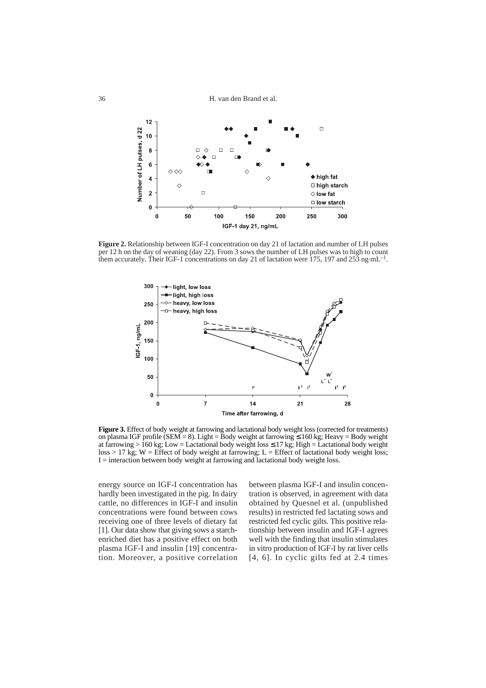H. van den Brand et al.



**Figure 2.** Relationship between IGF-I concentration on day 21 of lactation and number of LH pulses per 12 h on the day of weaning (day 22). From 3 sows the number of LH pulses was to high to count them accurately. Their IGF-1 concentrations on day 21 of lactation were 175, 197 and 253 ng  $mL^{-1}$ .



**Figure 3.** Effect of body weight at farrowing and lactational body weight loss (corrected for treatments) on plasma IGF profile (SEM = 8). Light = Body weight at farrowing ≤ 160 kg; Heavy = Body weight at farrowing > 160 kg; Low = Lactational body weight loss  $\leq$  17 kg; High = Lactational body weight  $loss > 17$  kg; W = Effect of body weight at farrowing; L = Effect of lactational body weight loss; I = interaction between body weight at farrowing and lactational body weight loss.

energy source on IGF-I concentration has hardly been investigated in the pig. In dairy cattle, no differences in IGF-I and insulin concentrations were found between cows receiving one of three levels of dietary fat [1]. Our data show that giving sows a starchenriched diet has a positive effect on both plasma IGF-I and insulin [19] concentration. Moreover, a positive correlation

between plasma IGF-I and insulin concentration is observed, in agreement with data obtained by Quesnel et al. (unpublished results) in restricted fed lactating sows and restricted fed cyclic gilts. This positive relationship between insulin and IGF-I agrees well with the finding that insulin stimulates in vitro production of IGF-I by rat liver cells [4, 6]. In cyclic gilts fed at 2.4 times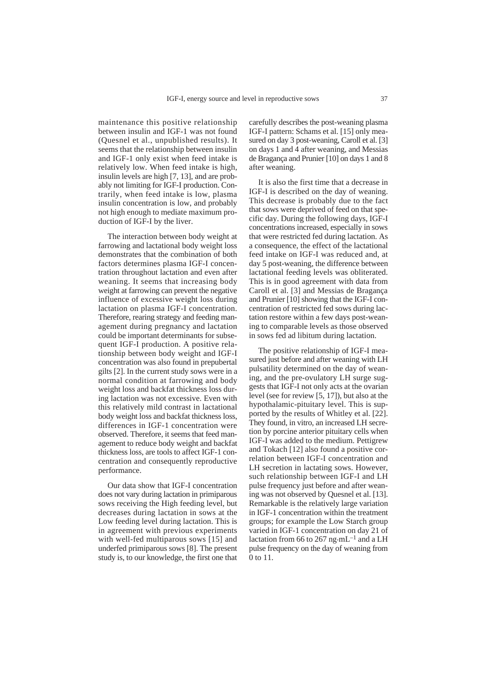maintenance this positive relationship between insulin and IGF-1 was not found (Quesnel et al., unpublished results). It seems that the relationship between insulin and IGF-1 only exist when feed intake is relatively low. When feed intake is high, insulin levels are high [7, 13], and are probably not limiting for IGF-I production. Contrarily, when feed intake is low, plasma insulin concentration is low, and probably not high enough to mediate maximum production of IGF-I by the liver.

The interaction between body weight at farrowing and lactational body weight loss demonstrates that the combination of both factors determines plasma IGF-I concentration throughout lactation and even after weaning. It seems that increasing body weight at farrowing can prevent the negative influence of excessive weight loss during lactation on plasma IGF-I concentration. Therefore, rearing strategy and feeding management during pregnancy and lactation could be important determinants for subsequent IGF-I production. A positive relationship between body weight and IGF-I concentration was also found in prepubertal gilts [2]. In the current study sows were in a normal condition at farrowing and body weight loss and backfat thickness loss during lactation was not excessive. Even with this relatively mild contrast in lactational body weight loss and backfat thickness loss, differences in IGF-1 concentration were observed. Therefore, it seems that feed management to reduce body weight and backfat thickness loss, are tools to affect IGF-1 concentration and consequently reproductive performance.

Our data show that IGF-I concentration does not vary during lactation in primiparous sows receiving the High feeding level, but decreases during lactation in sows at the Low feeding level during lactation. This is in agreement with previous experiments with well-fed multiparous sows [15] and underfed primiparous sows [8]. The present study is, to our knowledge, the first one that carefully describes the post-weaning plasma IGF-I pattern: Schams et al. [15] only measured on day 3 post-weaning, Caroll et al. [3] on days 1 and 4 after weaning, and Messias de Bragança and Prunier [10] on days 1 and 8 after weaning.

It is also the first time that a decrease in IGF-I is described on the day of weaning. This decrease is probably due to the fact that sows were deprived of feed on that specific day. During the following days, IGF-I concentrations increased, especially in sows that were restricted fed during lactation. As a consequence, the effect of the lactational feed intake on IGF-I was reduced and, at day 5 post-weaning, the difference between lactational feeding levels was obliterated. This is in good agreement with data from Caroll et al. [3] and Messias de Bragança and Prunier [10] showing that the IGF-I concentration of restricted fed sows during lactation restore within a few days post-weaning to comparable levels as those observed in sows fed ad libitum during lactation.

The positive relationship of IGF-I measured just before and after weaning with LH pulsatility determined on the day of weaning, and the pre-ovulatory LH surge suggests that IGF-I not only acts at the ovarian level (see for review [5, 17]), but also at the hypothalamic-pituitary level. This is supported by the results of Whitley et al. [22]. They found, in vitro, an increased LH secretion by porcine anterior pituitary cells when IGF-I was added to the medium. Pettigrew and Tokach [12] also found a positive correlation between IGF-I concentration and LH secretion in lactating sows. However, such relationship between IGF-I and LH pulse frequency just before and after weaning was not observed by Quesnel et al. [13]. Remarkable is the relatively large variation in IGF-1 concentration within the treatment groups; for example the Low Starch group varied in IGF-1 concentration on day 21 of lactation from 66 to 267 ng·mL<sup>-1</sup> and a LH pulse frequency on the day of weaning from 0 to 11.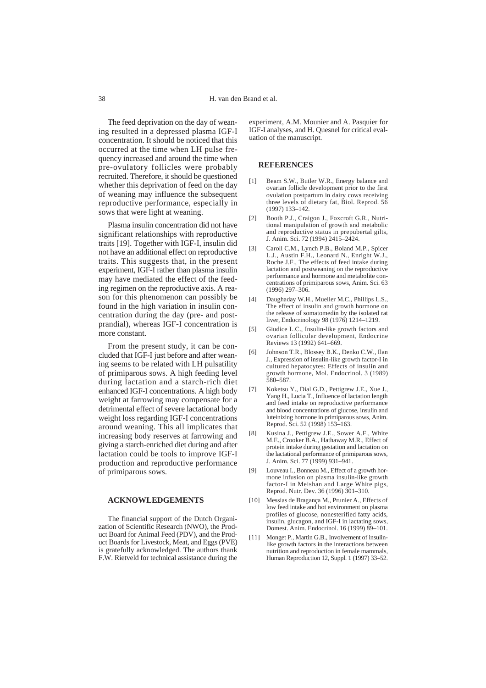The feed deprivation on the day of weaning resulted in a depressed plasma IGF-I concentration. It should be noticed that this occurred at the time when LH pulse frequency increased and around the time when pre-ovulatory follicles were probably recruited. Therefore, it should be questioned whether this deprivation of feed on the day of weaning may influence the subsequent reproductive performance, especially in sows that were light at weaning.

Plasma insulin concentration did not have significant relationships with reproductive traits [19]. Together with IGF-I, insulin did not have an additional effect on reproductive traits. This suggests that, in the present experiment, IGF-I rather than plasma insulin may have mediated the effect of the feeding regimen on the reproductive axis. A reason for this phenomenon can possibly be found in the high variation in insulin concentration during the day (pre- and postprandial), whereas IGF-I concentration is more constant.

From the present study, it can be concluded that IGF-I just before and after weaning seems to be related with LH pulsatility of primiparous sows. A high feeding level during lactation and a starch-rich diet enhanced IGF-I concentrations. A high body weight at farrowing may compensate for a detrimental effect of severe lactational body weight loss regarding IGF-I concentrations around weaning. This all implicates that increasing body reserves at farrowing and giving a starch-enriched diet during and after lactation could be tools to improve IGF-I production and reproductive performance of primiparous sows.

#### **ACKNOWLEDGEMENTS**

The financial support of the Dutch Organization of Scientific Research (NWO), the Product Board for Animal Feed (PDV), and the Product Boards for Livestock, Meat, and Eggs (PVE) is gratefully acknowledged. The authors thank F.W. Rietveld for technical assistance during the

experiment, A.M. Mounier and A. Pasquier for IGF-I analyses, and H. Quesnel for critical evaluation of the manuscript.

#### **REFERENCES**

- [1] Beam S.W., Butler W.R., Energy balance and ovarian follicle development prior to the first ovulation postpartum in dairy cows receiving three levels of dietary fat, Biol. Reprod. 56 (1997) 133–142.
- [2] Booth P.J., Craigon J., Foxcroft G.R., Nutritional manipulation of growth and metabolic and reproductive status in prepubertal gilts, J. Anim. Sci. 72 (1994) 2415–2424.
- [3] Caroll C.M., Lynch P.B., Boland M.P., Spicer L.J., Austin F.H., Leonard N., Enright W.J., Roche J.F., The effects of feed intake during lactation and postweaning on the reproductive performance and hormone and metabolite concentrations of primiparous sows, Anim. Sci. 63 (1996) 297–306.
- [4] Daughaday W.H., Mueller M.C., Phillips L.S., The effect of insulin and growth hormone on the release of somatomedin by the isolated rat liver, Endocrinology 98 (1976) 1214–1219.
- [5] Giudice L.C., Insulin-like growth factors and ovarian follicular development, Endocrine Reviews 13 (1992) 641–669.
- [6] Johnson T.R., Blossey B.K., Denko C.W., Ilan J., Expression of insulin-like growth factor-I in cultured hepatocytes: Effects of insulin and growth hormone, Mol. Endocrinol. 3 (1989) 580–587.
- [7] Koketsu Y., Dial G.D., Pettigrew J.E., Xue J., Yang H., Lucia T., Influence of lactation length and feed intake on reproductive performance and blood concentrations of glucose, insulin and luteinizing hormone in primiparous sows, Anim. Reprod. Sci. 52 (1998) 153–163.
- [8] Kusina J., Pettigrew J.E., Sower A.F., White M.E., Crooker B.A., Hathaway M.R., Effect of protein intake during gestation and lactation on the lactational performance of primiparous sows, J. Anim. Sci. 77 (1999) 931–941.
- [9] Louveau I., Bonneau M., Effect of a growth hormone infusion on plasma insulin-like growth factor-I in Meishan and Large White pigs, Reprod. Nutr. Dev. 36 (1996) 301–310.
- [10] Messias de Bragança M., Prunier A., Effects of low feed intake and hot environment on plasma profiles of glucose, nonesterified fatty acids, insulin, glucagon, and IGF-I in lactating sows, Domest. Anim. Endocrinol. 16 (1999) 89–101.
- [11] Monget P., Martin G.B., Involvement of insulinlike growth factors in the interactions between nutrition and reproduction in female mammals, Human Reproduction 12, Suppl. 1 (1997) 33–52.